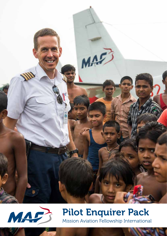



## Pilot Enquirer Pack Mission Aviation Fellowship International

MAF Pilot Enquirer Pack 1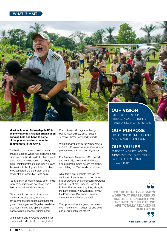

The MAF story started in 1945 when a group of Second World War pilots, who had witnessed first-hand the destruction aircraft could wreak when deployed as military might, wanted instead to use their skills and the aviation technology available to deliver relief, comfort and the transformational power of the Gospel. MAF was born.

Today, a MAF aeroplane takes off or lands every three minutes in countries where flying is not a luxury but a lifeline.

We work with hundreds of missions. churches, local groups, relief and development organisations and national government agencies. Together we deliver practical, medical and spiritual care in places with the deepest human need.

MAF International oversees programmes in Arnhem Land in Australia, Bangladesh, Chad, Kenya, Madagascar, Mongolia, Papua New Guinea, South Sudan, Tanzania, Timor-Leste and Uganda.

We are always looking for where MAF is needed. Plans are well advanced for new programmes in Liberia and Myanmar.

Our Associate Members, MAF Canada and MAF-US, and our MAF Affiliates also run programmes across the globe, completing the MAF family worldwide.

All of this is only possible through the dedicated financial support, people and prayer provided by our Resourcing Groups based in Australia, Canada, Denmark, Finland, France, Germany, Italy, Malaysia, the Netherlands, New Zealand, Norway, the Philippines, Singapore, Sweden, Switzerland, the UK and the US.

The opportunities are great, the rewards even more so. Will you join us and be a part of our continuing story?

## OUR VISION

TO SEE ISOLATED PEOPLE PHYSICALLY AND SPIRITUALLY TRANSFORMED IN CHRIST'S NAME

## OUR PURPOSE

SHARING GOD'S LOVE THROUGH AVIATION AND TECHNOLOGY

## OUR VALUES

EMBODIED IN SIX KEY WORDS: IMPACT, WITNESS, PARTNERSHIP, CARE, EXCELLENCE AND **STEWARDSHIP** 

**SOME THAT REASSURES**<br>
WORK THAT REASSURES US<br>
AND THE ERIENDSHIPS WE AND THE FRIENDSHIPS WE HAVE WITH THE PILOTS. WE ARE TOTALLY RELAXED IN THEIR HANDS

> Vince Ward, Cush4Christ **99**<br>h4Christ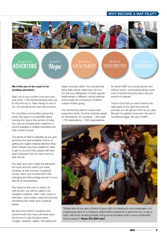#### WHY BECOME A MAF PILOT?



# **ADVENTURE**

Be part of Hope **MOVEMENT** 

Be part of TRANSFORMATION

**RESCUE** 

#### We invite you to be a part of an exciting adventure.

Step out of your comfort zone and onto one of the 1,700 remote landing strips we fly into and out of. Take charge of one of our 130 aircraft as the next call comes in.

For countless communities across the world, the sight of a small MAF plane coming into view is the symbol of hope. You may be bringing them medicine or school supplies or a Bible translated into their mother tongue.

The sense of relief is palpable as you give someone the best possible chance of getting the urgent medical attention they need. People may have walked for days to get to you and their prayers will have been answered that you have come to their rescue.

You may have had to fight the elements, the clock and the odds to be there, however, at that moment of greatest human need, your involvement is lifechanging and that privilege as part of your day job is unsurpassed.

The nature of the work is varied. As well as pilot, you will be called to be navigator, engineer, cabin crew, check in attendant, load master, customer services, sometimes the medic and a spiritual leader.

No day is the same in locations and environments that many will never have the honour to see, let alone serve. Jungles, swamps, valleys, tributaries and

steep mountain sides. Your exceptional flying skills will be called upon and so too will your willingness to foster special relationships in different cultural settings and to keep the momentum of MAF's unique ministry going.

You will become part of a warm and supportive family. And the numbers speak for themselves: 25 countries, 1,300 staff, 1,700 destinations, 1,500 organisations

for whom MAF is a crucial partner and without whom, some extraordinary work that is transforming lives every day just would not happen.

Trust in God that you are in exactly the right place at the right time and we promise you will get as much as you give. Be part of a global movement. Be part of something bigger. Be part of MAF…



"Where else do you get a chance to give a gift of a blessing to your passengers, put a reassuring hand on a medevac patient before departure or spend an hour, a day, a night, with some amazing people, doing some incredible stuff in some unbelievably remote places?" Bryan Pill, MAF pilot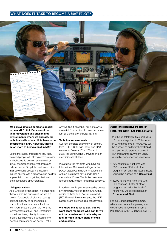### WHAT DOES IT TAKE TO BECOME A MAF PILOT?



We believe it takes someone special to be a MAF pilot. Because of the underdeveloped and challenging environments where we operate, the technical skills of our pilots have to be exceptionally high. However, there is much more to being a pilot in MAF.

Due to the variety of situations they face, we need people with strong communication and relationship-building skills as well as a level of emotional resourcefulness and independence. Our pilots need to combine their powerful analytical and decisionmaking abilities with a proactive and positive approach in order to get the job done in often demanding circumstances.

#### Living our values:

As a Christian organisation, it is important that our staff live our values, so we are looking for people of faith with strong spiritual maturity to be members of our multinational interdenominational team. Our pilots are often the front line representative of MAF and Christianity, sometimes being directly involved in sharing testimony and outreach to the isolated communities we serve. That is

why we find it desirable, but not always essential, for our pilots to have had some formal bible and or cultural training.

#### Technical requirements:

Our fleet consists of a variety of aircraft, from DHC-6-300 Twin Otters and GA8 Airvans to Cessna 182s, 206s and 208s, including Grand Caravans and an amphibious floatplane.

We are looking for pilots who have an International Civil Aviation Organisation (ICAO) based Commercial Pilot Licence with an instrument rating and Class 1 medical certificate. This is the minimum licensing requirement for all pilot positions.

In addition to this, you must already possess a minimum number of flight hours, with a portion of these as a Pilot in Command (PIC). Finally all Pilots must pass the MAF capability and psychological assessments.

We know this is lot to ask, but we want team members who can thrive not just survive and that is why we look for this unique blend of skills and qualities.

#### OUR MINIMUM FLIGHT HOURS ARE AS FOLLOWS:

- 200 hours total flight time, including 10 hours at night and 100 hours as PIC. With this level of hours, you will be classed as an **Entry Level Pilot** and you would start your career in our programme in Arnhem Land, Australia, dependent on vacancies.
- 500 hours total flight time with 300 hours as PIC for all other programmes. With this level of hours, you will be classed as a Basic Pilot.
- 1,000 hours total flight time with 500 hours as PIC for all other programmes. With this level of hours, you will be classed as an Experienced Pilot.

For our Bangladesh programme, where we operate floatplanes, you would need to have a minimum of 2,000 hours with 1,500 hours as PIC.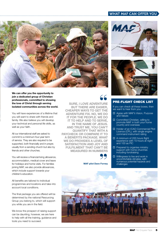#### WHAT MAF CAN OFFER YOU



We can offer you the opportunity to join a dedicated group of Christian professionals, committed to showing the love of Christ through serving isolated communities across the world.

You will have experiences of a lifetime that you will want to share with friends and family. We also believe you will develop your technical and personal life skills, as well as your faith.

All our international staff are asked to commit to a minimum four-year term of service. They are also required to be supported, both financially and in prayer, usually from a sending church but also by friends and other churches.

You will receive a financial living allowance, accommodation, medical cover and leave for holidays and home visits. For families joining MAF, we also provide allowances, which include support towards your children's education.

All benefits are tailored to individual programmes and locations and take into account local conditions.

The final package you are offered will be determined by the national Resourcing Group you belong to, which will support you while you are in the field.

We know the prospect of raising support can be daunting, however, we are here to help with all the training, guidance and tools you need to succeed.

SURE, I LOVE ADVENTURE **SOME THERE ARE EASIER**<br>BUT THERE ARE EASIER,<br>APER WAYS TO GET THE CHEAPER WAYS TO GET THE ADVENTURE FIX. NO, WE DO IT FOR THE PEOPLE. WE DO IT TO HELP AND TO SERVE, IN THE NAME OF JESUS. AND TRUST ME, YOU CAN'T QUANTIFY THAT WITH A PAYCHECK OR COMPARE IT TO A BENEFITS PACKAGE. WHAT WE DO PROVIDES A LEVEL OF SATISFACTION AND JOY AND FULFILMENT THAT CAN'T BE MEASURED IN NUMBERS



#### MAF pilot Dave Forney





#### PRE-FLIGHT CHECK LIST

If you can check all these boxes, then we want to hear from you:

- □ Agree with MAF's Vision, Purpose and Values
- □ Committed Christian, willing to promote MAF in both your home country and overseas
- □ Holder of an ICAO Commercial Pilot Licence (CPL), with single engine command instrument rating
- □ A minimum of 200 hours flight experience with 10 hours at night and 100 as PIC
- $\Box$  Prepared to organise ministry support with home churches including fundraising
- $\Box$  Willingness to live and work in uncomfortable climates, with numerous potential hazards and challenges

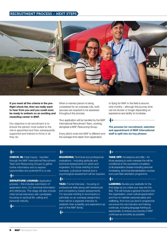#### RECRUITMENT PROCESS – NEXT STEPS



If you meet all the criteria in the preflight check list, then we really want to hear from you and you could soon be ready to embark on an exciting and rewarding career in MAF.

Our objective in all recruitment is to ensure the person most suited to the role is appointed and then subsequently supported and trained to thrive in all they do.

When a married person is being considered for an overseas role, both spouses are required to be assessed throughout the process.

Your application will be handled by the MAF International Recruitment Team, working alongside a MAF Resourcing Group.

Every pilot's route into MAF is different and the average time taken from application

to flying for MAF in the field is around nine months – although this journey time can be shorter or longer depending on experience and ability to fundraise.

The process for recruitment, selection and appointment of MAF International staff is split into six key phases:

**E** El anomeno de la construcción de la construcción de la construcción de la construcción de la construcción de

## $+$

**CHECK IN: Initial inquiry - handled** through the MAF International Recruitment Team and Resourcing Groups to gather further information and to explore opportunities and potential fit to a role.

 $+$ **DEPARTURE LOUNGE: Application** process – this includes submission of application form, CV, technical information and references. This stage will also include initial formal interviews with candidates focusing on spiritual life, calling and personal maturity.

 $+$ 

## $\begin{picture}(20,10) \put(0,0){\vector(1,0){10}} \put(15,0){\vector(1,0){10}} \put(15,0){\vector(1,0){10}} \put(15,0){\vector(1,0){10}} \put(15,0){\vector(1,0){10}} \put(15,0){\vector(1,0){10}} \put(15,0){\vector(1,0){10}} \put(15,0){\vector(1,0){10}} \put(15,0){\vector(1,0){10}} \put(15,0){\vector(1,0){10}} \put(15,0){\vector(1,0){10}} \put(15,0){\vector(1$

**BOARDING:** Technical and professional evaluations - including aptitude and technical assessments for pilots and engineers. For those wishing to work overseas, a physical medical and a psychological assessment will be required.

 $+$ **TAXI:** Formal interview - focusing on professional skills along with behavioural and competency-based assessments.

For spouses wishing to accompany a jobholder on an overseas assignment, there will be a separate interview to establish their suitability and aspirations as part of the MAF family.

 $\begin{picture}(20,10) \put(0,0){\vector(1,0){10}} \put(15,0){\vector(1,0){10}} \put(15,0){\vector(1,0){10}} \put(15,0){\vector(1,0){10}} \put(15,0){\vector(1,0){10}} \put(15,0){\vector(1,0){10}} \put(15,0){\vector(1,0){10}} \put(15,0){\vector(1,0){10}} \put(15,0){\vector(1,0){10}} \put(15,0){\vector(1,0){10}} \put(15,0){\vector(1,0){10}} \put(15,0){\vector(1$ 

### **A** 4 **and 2019 Contract to the Contract of American Section**

TAKE OFF: Acceptance and offer – for those applying to work overseas this will be conditional on the successful completion of all preparation phases including personal fundraising, technical standardisation courses and a pre-field orientation programme.

**LANDING:** Buckle your seatbelts for the final stage as you make your way into the field. This will include a general induction into the organisation, cross-cultural appreciation and how to maintain personal safety and wellbeing. And once you land in programme, we ensure the role induction and training continues, including language training as appropriate, to ensure your journey in MAF continues as smoothly as possible.

 $\begin{array}{c} \begin{array}{c} \begin{array}{c} \end{array} \end{array}$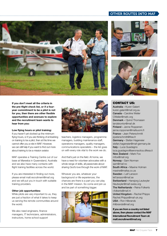#### OTHER ROUTES INTO MAF



If you don't meet all the criteria in the pre-flight check list, or if a fouryear commitment to be a pilot is not for you, then there are other flexible opportunities and avenues to explore and the recruitment team wants to hear from you:

#### Low flying hours or pilot training:

If you haven't yet clocked up the minimum flying hours, or if you are thinking of embarking on training to be a pilot, then at this time we cannot offer you a role in MAF. However, we can still help if you want to find out more about training to be a mission aviator.

MAF operates a Training Centre out of our base at Mareeba in Queensland, Australia and we also have many contacts with flight training facilities across the world.

If you are interested in finding out more, please email mafi.recruitment@maf.org and we will put you in touch with suitable training providers.

#### Other job opportunities:

While pilots are very important to us, they are just a fraction of what it takes to keep us serving the remote communities around the world.

We also need engineers, finance managers, IT technicians, administrators, instructors, home school support



teachers, logistics managers, programme managers, building maintenance staff, operations managers, quality managers, communications specialists – the list goes on with every role vital to the work we do.

And that's just on the field. At home, we have a need for volunteer advocates with a whole range of skills, all passionate about sharing God's love through the work of MAF.

Whoever you are, whatever your background or life experiences, the chances are there is a part you can play in the MAF mission. So come and join us and be part of something bigger.







#### CONTACT US:

Australia - Kuren Galant kuren.galant@maf.org.au Canada - Caroline Weiler CWeiler@mafc.org Denmark - Ojvind Thomasen landskontor@maf.dk Finland - Janne Roppenen janne.ropponen@mafsuomi.fi France - Jean Peterschmitt jrpeterschmitt@free.fr Germany - Stefan Hageneier stefan.hageneier@maf-germany.de Italy - Luca Guadagno luca.guadagno@aeronautica.difesa.it New Zealand - Mark Fox mfox@maf.org Norway - Sam Norman sam@maf.no South Africa - Maxine Holman maxine@mafsa.co.za Sweden - Leif Larsson leif.larsson@maf.se Switzerland - Hansjorg Leutwyler hleutwyler@maf-swiss.org The Netherlands - Reina Folkerts r.folkerts@maf.nl United Kingdom - Rachel Phipps Rachel.Phipps@maf-uk.org USA - Ron Hilbrands rhilbrands@maf.org

If you are from a country not listed above, then please contact the MAF International Recruitment Team at: mafi.recruitment@maf.org